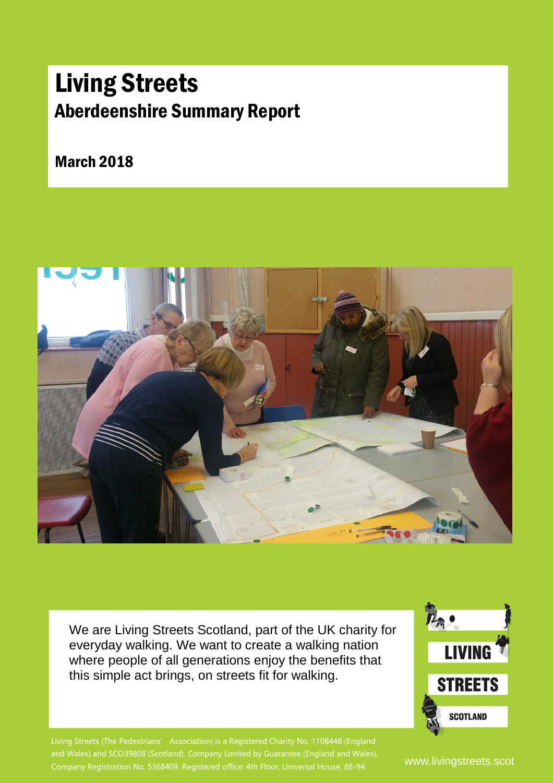### Aberdeenshire Summary Report Living Streets

March 2018



We are Living Streets Scotland, part of the UK charity for everyday walking. We want to create a walking nation where people of all generations enjoy the benefits that this simple act brings, on streets fit for walking.



Living Streets (The Pedestrians' Association) is a Registered Charity No. 1108448 (England and Wales) and SCO39808 (Scotland). Company Limited by Guarantee (England and Wales), Company Registration No. 5368409. Registered office: 4th Floor, Universal House, 88-94

www.livingstreets.scot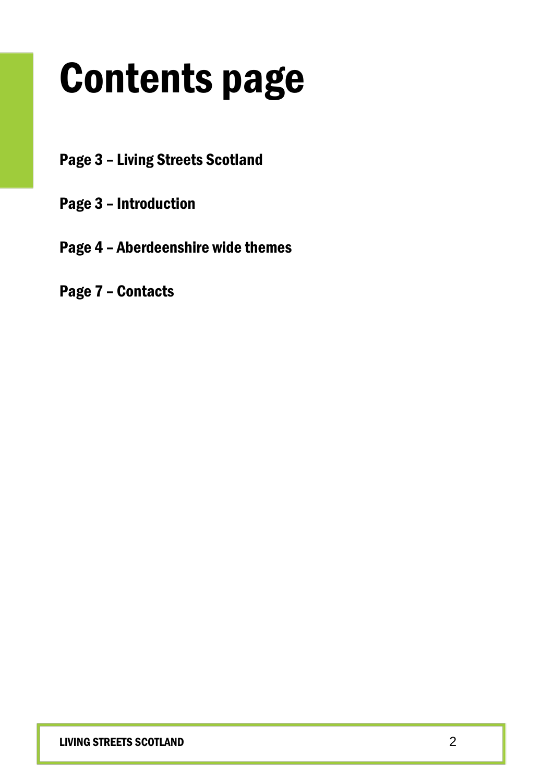## Contents page

- Page 3 Living Streets Scotland
- Page 3 Introduction
- Page 4 Aberdeenshire wide themes
- Page 7 Contacts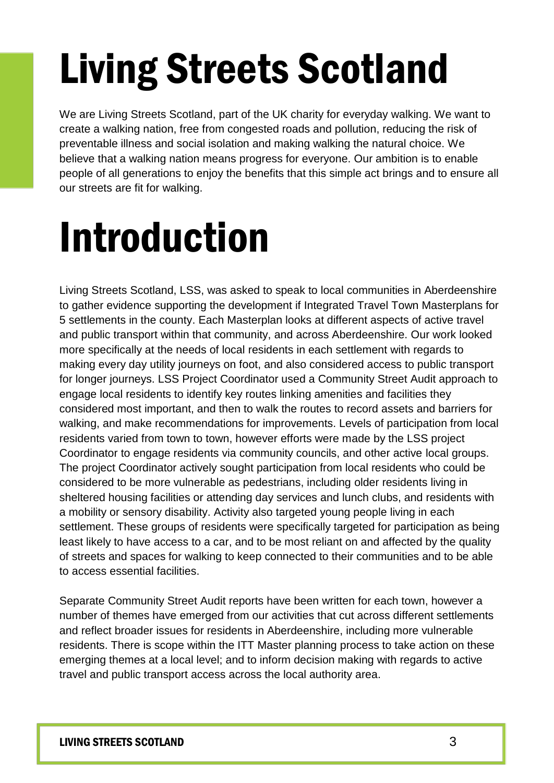# Living Streets Scotland

We are Living Streets Scotland, part of the UK charity for everyday walking. We want to create a walking nation, free from congested roads and pollution, reducing the risk of preventable illness and social isolation and making walking the natural choice. We believe that a walking nation means progress for everyone. Our ambition is to enable people of all generations to enjoy the benefits that this simple act brings and to ensure all our streets are fit for walking.

### Introduction

Living Streets Scotland, LSS, was asked to speak to local communities in Aberdeenshire to gather evidence supporting the development if Integrated Travel Town Masterplans for 5 settlements in the county. Each Masterplan looks at different aspects of active travel and public transport within that community, and across Aberdeenshire. Our work looked more specifically at the needs of local residents in each settlement with regards to making every day utility journeys on foot, and also considered access to public transport for longer journeys. LSS Project Coordinator used a Community Street Audit approach to engage local residents to identify key routes linking amenities and facilities they considered most important, and then to walk the routes to record assets and barriers for walking, and make recommendations for improvements. Levels of participation from local residents varied from town to town, however efforts were made by the LSS project Coordinator to engage residents via community councils, and other active local groups. The project Coordinator actively sought participation from local residents who could be considered to be more vulnerable as pedestrians, including older residents living in sheltered housing facilities or attending day services and lunch clubs, and residents with a mobility or sensory disability. Activity also targeted young people living in each settlement. These groups of residents were specifically targeted for participation as being least likely to have access to a car, and to be most reliant on and affected by the quality of streets and spaces for walking to keep connected to their communities and to be able to access essential facilities.

Separate Community Street Audit reports have been written for each town, however a number of themes have emerged from our activities that cut across different settlements and reflect broader issues for residents in Aberdeenshire, including more vulnerable residents. There is scope within the ITT Master planning process to take action on these emerging themes at a local level; and to inform decision making with regards to active travel and public transport access across the local authority area.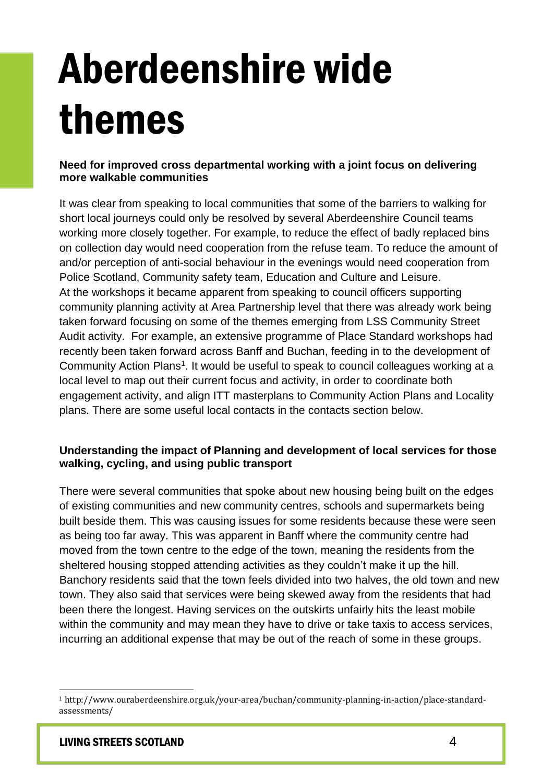## Aberdeenshire wide themes

#### **Need for improved cross departmental working with a joint focus on delivering more walkable communities**

It was clear from speaking to local communities that some of the barriers to walking for short local journeys could only be resolved by several Aberdeenshire Council teams working more closely together. For example, to reduce the effect of badly replaced bins on collection day would need cooperation from the refuse team. To reduce the amount of and/or perception of anti-social behaviour in the evenings would need cooperation from Police Scotland, Community safety team, Education and Culture and Leisure. At the workshops it became apparent from speaking to council officers supporting community planning activity at Area Partnership level that there was already work being taken forward focusing on some of the themes emerging from LSS Community Street Audit activity. For example, an extensive programme of Place Standard workshops had recently been taken forward across Banff and Buchan, feeding in to the development of Community Action Plans<sup>1</sup>. It would be useful to speak to council colleagues working at a local level to map out their current focus and activity, in order to coordinate both engagement activity, and align ITT masterplans to Community Action Plans and Locality plans. There are some useful local contacts in the contacts section below.

#### **Understanding the impact of Planning and development of local services for those walking, cycling, and using public transport**

There were several communities that spoke about new housing being built on the edges of existing communities and new community centres, schools and supermarkets being built beside them. This was causing issues for some residents because these were seen as being too far away. This was apparent in Banff where the community centre had moved from the town centre to the edge of the town, meaning the residents from the sheltered housing stopped attending activities as they couldn't make it up the hill. Banchory residents said that the town feels divided into two halves, the old town and new town. They also said that services were being skewed away from the residents that had been there the longest. Having services on the outskirts unfairly hits the least mobile within the community and may mean they have to drive or take taxis to access services, incurring an additional expense that may be out of the reach of some in these groups.

l

<sup>1</sup> http://www.ouraberdeenshire.org.uk/your-area/buchan/community-planning-in-action/place-standardassessments/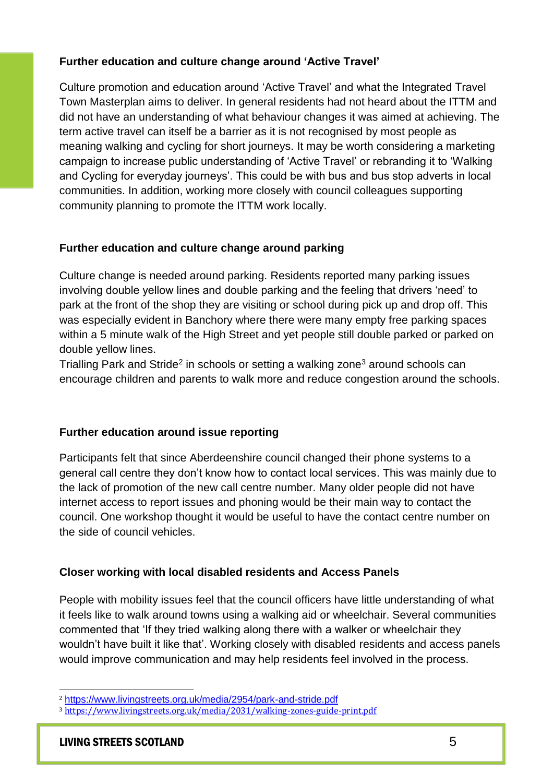#### **Further education and culture change around 'Active Travel'**

Culture promotion and education around 'Active Travel' and what the Integrated Travel Town Masterplan aims to deliver. In general residents had not heard about the ITTM and did not have an understanding of what behaviour changes it was aimed at achieving. The term active travel can itself be a barrier as it is not recognised by most people as meaning walking and cycling for short journeys. It may be worth considering a marketing campaign to increase public understanding of 'Active Travel' or rebranding it to 'Walking and Cycling for everyday journeys'. This could be with bus and bus stop adverts in local communities. In addition, working more closely with council colleagues supporting community planning to promote the ITTM work locally.

#### **Further education and culture change around parking**

Culture change is needed around parking. Residents reported many parking issues involving double yellow lines and double parking and the feeling that drivers 'need' to park at the front of the shop they are visiting or school during pick up and drop off. This was especially evident in Banchory where there were many empty free parking spaces within a 5 minute walk of the High Street and yet people still double parked or parked on double yellow lines.

Trialling Park and Stride<sup>2</sup> in schools or setting a walking zone<sup>3</sup> around schools can encourage children and parents to walk more and reduce congestion around the schools.

#### **Further education around issue reporting**

Participants felt that since Aberdeenshire council changed their phone systems to a general call centre they don't know how to contact local services. This was mainly due to the lack of promotion of the new call centre number. Many older people did not have internet access to report issues and phoning would be their main way to contact the council. One workshop thought it would be useful to have the contact centre number on the side of council vehicles.

#### **Closer working with local disabled residents and Access Panels**

People with mobility issues feel that the council officers have little understanding of what it feels like to walk around towns using a walking aid or wheelchair. Several communities commented that 'If they tried walking along there with a walker or wheelchair they wouldn't have built it like that'. Working closely with disabled residents and access panels would improve communication and may help residents feel involved in the process.

l <sup>2</sup> <https://www.livingstreets.org.uk/media/2954/park-and-stride.pdf>

<sup>3</sup> <https://www.livingstreets.org.uk/media/2031/walking-zones-guide-print.pdf>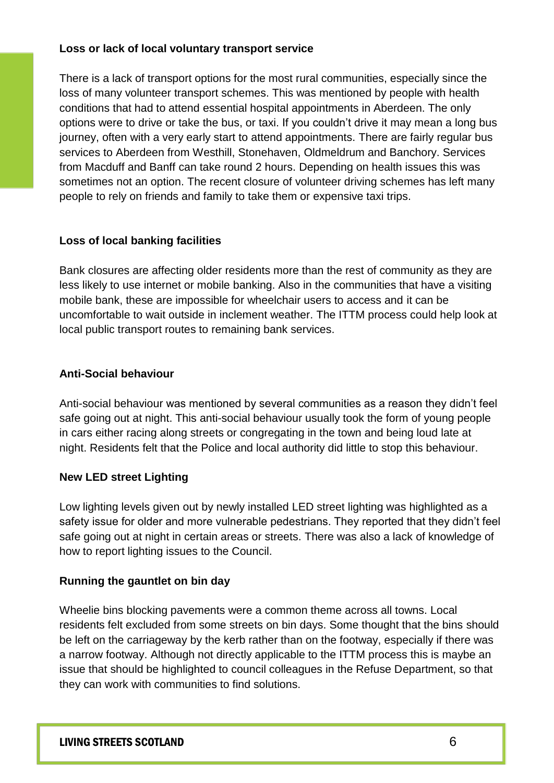#### **Loss or lack of local voluntary transport service**

There is a lack of transport options for the most rural communities, especially since the loss of many volunteer transport schemes. This was mentioned by people with health conditions that had to attend essential hospital appointments in Aberdeen. The only options were to drive or take the bus, or taxi. If you couldn't drive it may mean a long bus journey, often with a very early start to attend appointments. There are fairly regular bus services to Aberdeen from Westhill, Stonehaven, Oldmeldrum and Banchory. Services from Macduff and Banff can take round 2 hours. Depending on health issues this was sometimes not an option. The recent closure of volunteer driving schemes has left many people to rely on friends and family to take them or expensive taxi trips.

#### **Loss of local banking facilities**

Bank closures are affecting older residents more than the rest of community as they are less likely to use internet or mobile banking. Also in the communities that have a visiting mobile bank, these are impossible for wheelchair users to access and it can be uncomfortable to wait outside in inclement weather. The ITTM process could help look at local public transport routes to remaining bank services.

#### **Anti-Social behaviour**

Anti-social behaviour was mentioned by several communities as a reason they didn't feel safe going out at night. This anti-social behaviour usually took the form of young people in cars either racing along streets or congregating in the town and being loud late at night. Residents felt that the Police and local authority did little to stop this behaviour.

#### **New LED street Lighting**

Low lighting levels given out by newly installed LED street lighting was highlighted as a safety issue for older and more vulnerable pedestrians. They reported that they didn't feel safe going out at night in certain areas or streets. There was also a lack of knowledge of how to report lighting issues to the Council.

#### **Running the gauntlet on bin day**

Wheelie bins blocking pavements were a common theme across all towns. Local residents felt excluded from some streets on bin days. Some thought that the bins should be left on the carriageway by the kerb rather than on the footway, especially if there was a narrow footway. Although not directly applicable to the ITTM process this is maybe an issue that should be highlighted to council colleagues in the Refuse Department, so that they can work with communities to find solutions.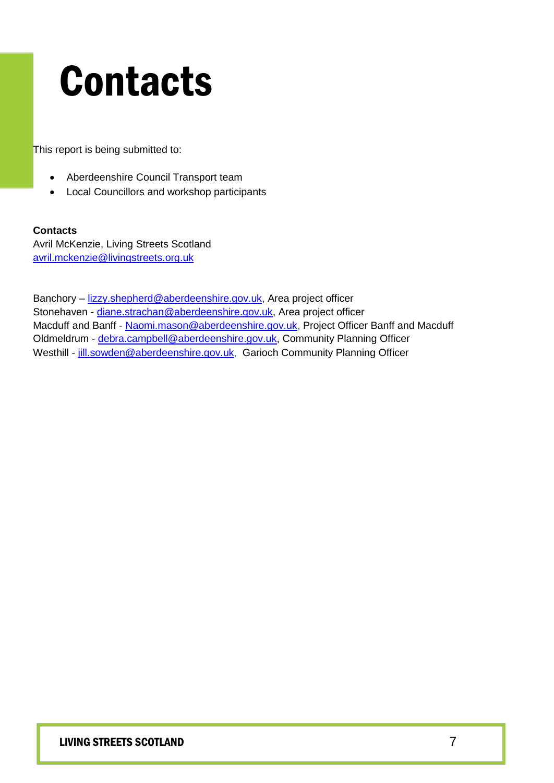### Contacts

This report is being submitted to:

- Aberdeenshire Council Transport team
- Local Councillors and workshop participants

#### **Contacts**

Avril McKenzie, Living Streets Scotland [avril.mckenzie@livingstreets.org.uk](mailto:avril.mckenzie@livingstreets.org.uk)

Banchory – [lizzy.shepherd@aberdeenshire.gov.uk,](mailto:lizzy.shepherd@aberdeenshire.gov.uk) Area project officer Stonehaven - [diane.strachan@aberdeenshire.gov.uk,](mailto:diane.strachan@aberdeenshire.gov.uk) Area project officer Macduff and Banff - [Naomi.mason@aberdeenshire.gov.uk,](mailto:Naomi.mason@aberdeenshire.gov.uk) Project Officer Banff and Macduff Oldmeldrum - [debra.campbell@aberdeenshire.gov.uk,](mailto:debra.campbell@aberdeenshire.gov.uk) Community Planning Officer Westhill - [jill.sowden@aberdeenshire.gov.uk,](mailto:jill.sowden@aberdeenshire.gov.uk) Garioch Community Planning Officer